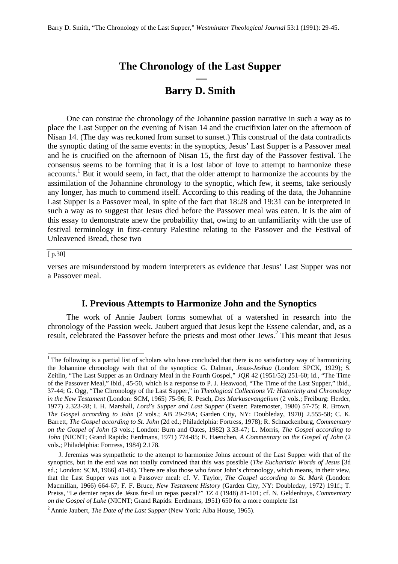# **The Chronology of the Last Supper —**

# **Barry D. Smith**

One can construe the chronology of the Johannine passion narrative in such a way as to place the Last Supper on the evening of Nisan 14 and the crucifixion later on the afternoon of Nisan 14. (The day was reckoned from sunset to sunset.) This construal of the data contradicts the synoptic dating of the same events: in the synoptics, Jesus' Last Supper is a Passover meal and he is crucified on the afternoon of Nisan 15, the first day of the Passover festival. The consensus seems to be forming that it is a lost labor of love to attempt to harmonize these accounts.<sup>1</sup> But it would seem, in fact, that the older attempt to harmonize the accounts by the assimilation of the Johannine chronology to the synoptic, which few, it seems, take seriously any longer, has much to commend itself. According to this reading of the data, the Johannine Last Supper is a Passover meal, in spite of the fact that 18:28 and 19:31 can be interpreted in such a way as to suggest that Jesus died before the Passover meal was eaten. It is the aim of this essay to demonstrate anew the probability that, owing to an unfamiliarity with the use of festival terminology in first-century Palestine relating to the Passover and the Festival of Unleavened Bread, these two

#### [ p.30]

l

verses are misunderstood by modern interpreters as evidence that Jesus' Last Supper was not a Passover meal.

# **I. Previous Attempts to Harmonize John and the Synoptics**

The work of Annie Jaubert forms somewhat of a watershed in research into the chronology of the Passion week. Jaubert argued that Jesus kept the Essene calendar, and, as a result, celebrated the Passover before the priests and most other Jews.<sup>2</sup> This meant that Jesus

<sup>&</sup>lt;sup>1</sup> The following is a partial list of scholars who have concluded that there is no satisfactory way of harmonizing the Johannine chronology with that of the synoptics: G. Dalman, *Jesus-Jeshua* (London: SPCK, 1929); S. Zeitlin, "The Last Supper as an Ordinary Meal in the Fourth Gospel," *JQR* 42 (1951/52) 251-60; id., "The Time of the Passover Meal," ibid., 45-50, which is a response to P. J. Heawood, "The Time of the Last Supper," ibid., 37-44; G. Ogg, "The Chronology of the Last Supper," in *Theological Collections VI: Historicity and Chronology in the New Testament* (London: SCM, 1965) 75-96; R. Pesch, *Das Markusevangelium* (2 vols.; Freiburg: Herder, 1977) 2.323-28; I. H. Marshall, *Lord's Supper and Last Supper* (Exeter: Paternoster, 1980) 57-75; R. Brown, *The Gospel according to John* (2 vols.; AB 29-29A; Garden City, NY: Doubleday, 1970) 2.555-58; C. K. Barrett, *The Gospel according to St. John* (2d ed.; Philadelphia: Fortress, 1978); R. Schnackenburg, *Commentary on the Gospel of John* (3 vols.; London: Burn and Oates, 1982) 3.33-47; L. Morris, *The Gospel according to John* (NICNT; Grand Rapids: Eerdmans, 1971) 774-85; E. Haenchen, *A Commentary on the Gospel of John* (2 vols.; Philadelphia: Fortress, 1984) 2.178.

J. Jeremias was sympathetic to the attempt to harmonize Johns account of the Last Supper with that of the synoptics, but in the end was not totally convinced that this was possible (*The Eucharistic Words of Jesus* [3d ed.; London: SCM, 1966] 41-84). There are also those who favor John's chronology, which means, in their view, that the Last Supper was not a Passover meal: cf. V. Taylor, *The Gospel according to St. Mark* (London: Macmillan, 1966) 664-67; F. F. Bruce, *New Testament History* (Garden City, NY: Doubleday, 1972) 191f.; T. Preiss, "Le dernier repas de Jésus fut-il un repas pascal?" *TZ* 4 (1948) 81-101; cf. N. Geldenhuys, *Commentary on the Gospel of Luke* (NICNT; Grand Rapids: Eerdmans, 1951) 650 for a more complete list

<sup>2</sup>Annie Jaubert, *The Date of the Last Supper* (New York: Alba House, 1965).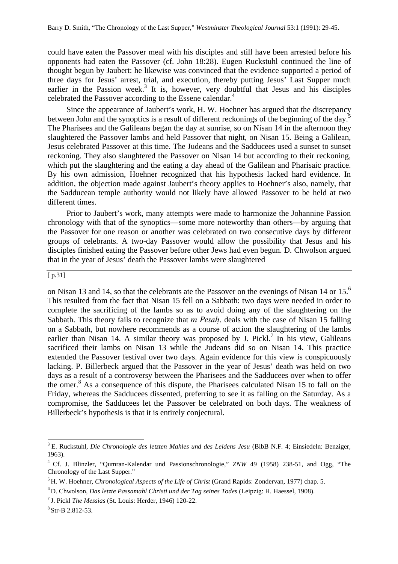could have eaten the Passover meal with his disciples and still have been arrested before his opponents had eaten the Passover (cf. John 18:28). Eugen Ruckstuhl continued the line of thought begun by Jaubert: he likewise was convinced that the evidence supported a period of three days for Jesus' arrest, trial, and execution, thereby putting Jesus' Last Supper much earlier in the Passion week.<sup>3</sup> It is, however, very doubtful that Jesus and his disciples celebrated the Passover according to the Essene calendar.<sup>4</sup>

Since the appearance of Jaubert's work, H. W. Hoehner has argued that the discrepancy between John and the synoptics is a result of different reckonings of the beginning of the day.<sup>5</sup> The Pharisees and the Galileans began the day at sunrise, so on Nisan 14 in the afternoon they slaughtered the Passover lambs and held Passover that night, on Nisan 15. Being a Galilean, Jesus celebrated Passover at this time. The Judeans and the Sadducees used a sunset to sunset reckoning. They also slaughtered the Passover on Nisan 14 but according to their reckoning, which put the slaughtering and the eating a day ahead of the Galilean and Pharisaic practice. By his own admission, Hoehner recognized that his hypothesis lacked hard evidence. In addition, the objection made against Jaubert's theory applies to Hoehner's also, namely, that the Sadducean temple authority would not likely have allowed Passover to be held at two different times.

Prior to Jaubert's work, many attempts were made to harmonize the Johannine Passion chronology with that of the synoptics—some more noteworthy than others—by arguing that the Passover for one reason or another was celebrated on two consecutive days by different groups of celebrants. A two-day Passover would allow the possibility that Jesus and his disciples finished eating the Passover before other Jews had even begun. D. Chwolson argued that in the year of Jesus' death the Passover lambs were slaughtered

# $\boxed{p.31}$

on Nisan 13 and 14, so that the celebrants ate the Passover on the evenings of Nisan 14 or 15.<sup>6</sup> This resulted from the fact that Nisan 15 fell on a Sabbath: two days were needed in order to complete the sacrificing of the lambs so as to avoid doing any of the slaughtering on the Sabbath. This theory fails to recognize that  $m$  Pesah. deals with the case of Nisan 15 falling on a Sabbath, but nowhere recommends as a course of action the slaughtering of the lambs earlier than Nisan 14. A similar theory was proposed by J. Pickl.<sup>7</sup> In his view, Galileans sacrificed their lambs on Nisan 13 while the Judeans did so on Nisan 14. This practice extended the Passover festival over two days. Again evidence for this view is conspicuously lacking. P. Billerbeck argued that the Passover in the year of Jesus' death was held on two days as a result of a controversy between the Pharisees and the Sadducees over when to offer the omer.<sup>8</sup> As a consequence of this dispute, the Pharisees calculated Nisan 15 to fall on the Friday, whereas the Sadducees dissented, preferring to see it as falling on the Saturday. As a compromise, the Sadducees let the Passover be celebrated on both days. The weakness of Billerbeck's hypothesis is that it is entirely conjectural.

<sup>3</sup>E. Ruckstuhl, *Die Chronologie des letzten Mahles und des Leidens Jesu* (BibB N.F. 4; Einsiedeln: Benziger, 1963).

<sup>&</sup>lt;sup>4</sup> Cf. J. Blinzler, "Qumran-Kalendar und Passionschronologie," *ZNW* 49 (1958) 238-51, and Ogg, "The Chronology of the Last Supper."

<sup>5</sup>H. W. Hoehner, *Chronological Aspects of the Life of Christ* (Grand Rapids: Zondervan, 1977) chap. 5.

<sup>6</sup>D. Chwolson, *Das letzte Passamahl Christi und der Tag seines Todes* (Leipzig: H. Haessel, 1908).

<sup>7</sup>J. Pickl *The Messias* (St. Louis: Herder, 1946) 120-22.

 $8$  Str-B 2.812-53.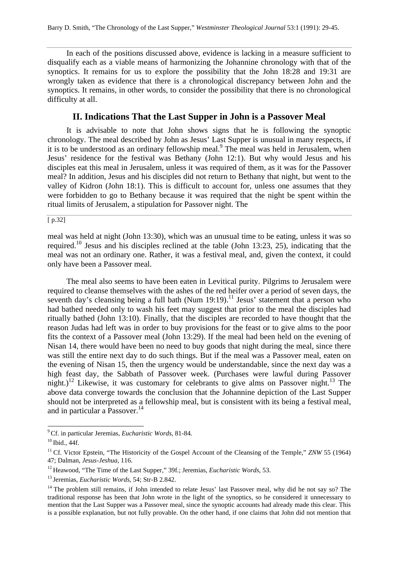In each of the positions discussed above, evidence is lacking in a measure sufficient to disqualify each as a viable means of harmonizing the Johannine chronology with that of the synoptics. It remains for us to explore the possibility that the John 18:28 and 19:31 are wrongly taken as evidence that there is a chronological discrepancy between John and the synoptics. It remains, in other words, to consider the possibility that there is no chronological difficulty at all.

# **II. Indications That the Last Supper in John is a Passover Meal**

It is advisable to note that John shows signs that he is following the synoptic chronology. The meal described by John as Jesus' Last Supper is unusual in many respects, if it is to be understood as an ordinary fellowship meal.<sup>9</sup> The meal was held in Jerusalem, when Jesus' residence for the festival was Bethany (John 12:1). But why would Jesus and his disciples eat this meal in Jerusalem, unless it was required of them, as it was for the Passover meal? In addition, Jesus and his disciples did not return to Bethany that night, but went to the valley of Kidron (John 18:1). This is difficult to account for, unless one assumes that they were forbidden to go to Bethany because it was required that the night be spent within the ritual limits of Jerusalem, a stipulation for Passover night. The

[ p.32]

meal was held at night (John 13:30), which was an unusual time to be eating, unless it was so required.<sup>10</sup> Jesus and his disciples reclined at the table (John 13:23, 25), indicating that the meal was not an ordinary one. Rather, it was a festival meal, and, given the context, it could only have been a Passover meal.

The meal also seems to have been eaten in Levitical purity. Pilgrims to Jerusalem were required to cleanse themselves with the ashes of the red heifer over a period of seven days, the seventh day's cleansing being a full bath (Num 19:19).<sup>11</sup> Jesus' statement that a person who had bathed needed only to wash his feet may suggest that prior to the meal the disciples had ritually bathed (John 13:10). Finally, that the disciples are recorded to have thought that the reason Judas had left was in order to buy provisions for the feast or to give alms to the poor fits the context of a Passover meal (John 13:29). If the meal had been held on the evening of Nisan 14, there would have been no need to buy goods that night during the meal, since there was still the entire next day to do such things. But if the meal was a Passover meal, eaten on the evening of Nisan 15, then the urgency would be understandable, since the next day was a high feast day, the Sabbath of Passover week. (Purchases were lawful during Passover night.)<sup>12</sup> Likewise, it was customary for celebrants to give alms on Passover night.<sup>13</sup> The above data converge towards the conclusion that the Johannine depiction of the Last Supper should not be interpreted as a fellowship meal, but is consistent with its being a festival meal, and in particular a Passover.<sup>14</sup>

<sup>9</sup>Cf. in particular Jeremias, *Eucharistic Words*, 81-84.

 $10$  Ibid., 44f.

<sup>&</sup>lt;sup>11</sup> Cf. Victor Epstein, "The Historicity of the Gospel Account of the Cleansing of the Temple," *ZNW* 55 (1964) 47; Dalman, *Jesus-Jeshua*, 116.

<sup>&</sup>lt;sup>12</sup> Heawood, "The Time of the Last Supper," 39f.; Jeremias, *Eucharistic Words*, 53.

<sup>&</sup>lt;sup>13</sup> Jeremias, *Eucharistic Words*, 54; Str-B 2.842.

<sup>&</sup>lt;sup>14</sup> The problem still remains, if John intended to relate Jesus' last Passover meal, why did he not say so? The traditional response has been that John wrote in the light of the synoptics, so he considered it unnecessary to mention that the Last Supper was a Passover meal, since the synoptic accounts had already made this clear. This is a possible explanation, but not fully provable. On the other hand, if one claims that John did not mention that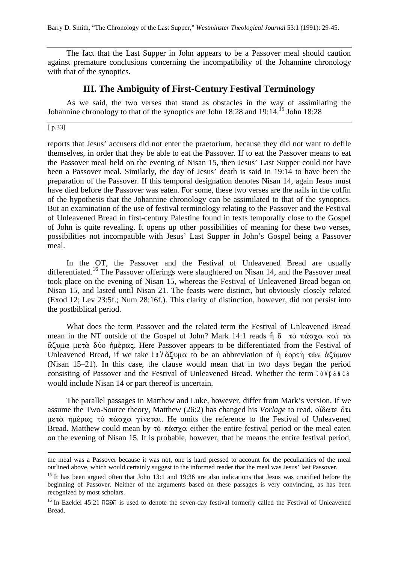Barry D. Smith, "The Chronology of the Last Supper," *Westminster Theological Journal* 53:1 (1991): 29-45.

The fact that the Last Supper in John appears to be a Passover meal should caution against premature conclusions concerning the incompatibility of the Johannine chronology with that of the synoptics.

# **III. The Ambiguity of First-Century Festival Terminology**

As we said, the two verses that stand as obstacles in the way of assimilating the Johannine chronology to that of the synoptics are John  $18:28$  and  $19:14$ .<sup>15</sup> John 18:28

# [ p.33]

l

reports that Jesus' accusers did not enter the praetorium, because they did not want to defile themselves, in order that they be able to eat the Passover. If to eat the Passover means to eat the Passover meal held on the evening of Nisan 15, then Jesus' Last Supper could not have been a Passover meal. Similarly, the day of Jesus' death is said in 19:14 to have been the preparation of the Passover. If this temporal designation denotes Nisan 14, again Jesus must have died before the Passover was eaten. For some, these two verses are the nails in the coffin of the hypothesis that the Johannine chronology can be assimilated to that of the synoptics. But an examination of the use of festival terminology relating to the Passover and the Festival of Unleavened Bread in first-century Palestine found in texts temporally close to the Gospel of John is quite revealing. It opens up other possibilities of meaning for these two verses, possibilities not incompatible with Jesus' Last Supper in John's Gospel being a Passover meal.

In the OT, the Passover and the Festival of Unleavened Bread are usually differentiated.<sup>16</sup> The Passover offerings were slaughtered on Nisan 14, and the Passover meal took place on the evening of Nisan 15, whereas the Festival of Unleavened Bread began on Nisan 15, and lasted until Nisan 21. The feasts were distinct, but obviously closely related (Exod 12; Lev 23:5f.; Num 28:16f.). This clarity of distinction, however, did not persist into the postbiblical period.

What does the term Passover and the related term the Festival of Unleavened Bread mean in the NT outside of the Gospel of John? Mark 14:1 reads  $\hat{\eta}$   $\delta$   $\tau \dot{\alpha}$   $\pi \dot{\alpha} \sigma \gamma \alpha$  ka $\dot{\tau}$  $\alpha$ ζυμα μετά δύο ήμέρας. Here Passover appears to be differentiated from the Festival of Unleavened Bread, if we take tal  $\alpha\zeta$   $\mu\alpha$  to be an abbreviation of  $\eta$  έορτη των άζύμων (Nisan 15–21). In this case, the clause would mean that in two days began the period consisting of Passover and the Festival of Unleavened Bread. Whether the term tol pasca would include Nisan 14 or part thereof is uncertain.

The parallel passages in Matthew and Luke, however, differ from Mark's version. If we assume the Two-Source theory, Matthew  $(26:2)$  has changed his *Vorlage* to read,  $\partial \delta \alpha \tau \epsilon \delta \tau \iota$  $\mu$ ετὰ ήμέρας τό πάσχα γίνεται. He omits the reference to the Festival of Unleavened Bread. Matthew could mean by  $\tau \circ \pi \alpha \sigma \chi \alpha$  either the entire festival period or the meal eaten on the evening of Nisan 15. It is probable, however, that he means the entire festival period,

the meal was a Passover because it was not, one is hard pressed to account for the peculiarities of the meal outlined above, which would certainly suggest to the informed reader that the meal was Jesus' last Passover.

<sup>&</sup>lt;sup>15</sup> It has been argued often that John 13:1 and 19:36 are also indications that Jesus was crucified before the beginning of Passover. Neither of the arguments based on these passages is very convincing, as has been recognized by most scholars.

<sup>&</sup>lt;sup>16</sup> In Ezekiel 45:21  $\overline{16}$  js used to denote the seven-day festival formerly called the Festival of Unleavened Bread.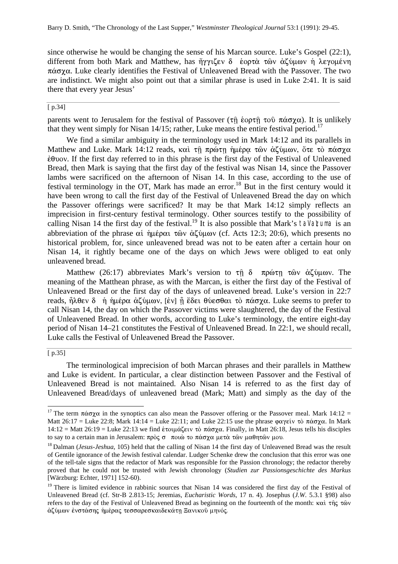since otherwise he would be changing the sense of his Marcan source. Luke's Gospel (22:1), different from both Mark and Matthew, has  $\eta \gamma \chi \epsilon v \delta$  έορτὰ τῶν ἀζύμων ἡ λεγομένη  $\pi\dot{\alpha}\sigma\chi\alpha$ . Luke clearly identifies the Festival of Unleavened Bread with the Passover. The two are indistinct. We might also point out that a similar phrase is used in Luke 2:41. It is said there that every year Jesus'

#### [ p.34]

parents went to Jerusalem for the festival of Passover ( $\tau \hat{\eta}$  έορτ $\hat{\eta}$  του πάσχα). It is unlikely that they went simply for Nisan 14/15; rather, Luke means the entire festival period.<sup>17</sup>

We find a similar ambiguity in the terminology used in Mark 14:12 and its parallels in Matthew and Luke. Mark 14:12 reads, καὶ τῆ πρώτῃ ἡμέρα τῶν ἀζύμων, ὅτε τὸ πάσχα  $\dot{\epsilon}$ θνον. If the first day referred to in this phrase is the first day of the Festival of Unleavened Bread, then Mark is saying that the first day of the festival was Nisan 14, since the Passover lambs were sacrificed on the afternoon of Nisan 14. In this case, according to the use of festival terminology in the OT, Mark has made an error.<sup>18</sup> But in the first century would it have been wrong to call the first day of the Festival of Unleavened Bread the day on which the Passover offerings were sacrificed? It may be that Mark 14:12 simply reflects an imprecision in first-century festival terminology. Other sources testify to the possibility of calling Nisan 14 the first day of the festival.<sup>19</sup> It is also possible that Mark's tal a\zuma is an abbreviation of the phrase  $\alpha i$  ήμέραι τῶν ἀζύμων (cf. Acts 12:3; 20:6), which presents no historical problem, for, since unleavened bread was not to be eaten after a certain hour on Nisan 14, it rightly became one of the days on which Jews were obliged to eat only unleavened bread.

Matthew (26:17) abbreviates Mark's version to  $\tau$  $\hat{\eta}$   $\delta$   $\pi \rho \omega \tau \eta$   $\tau \omega \nu$   $\alpha \zeta \nu \omega \nu$ . The meaning of the Matthean phrase, as with the Marcan, is either the first day of the Festival of Unleavened Bread or the first day of the days of unleavened bread. Luke's version in 22:7 reads,  $\hat{\eta} \lambda \theta \epsilon v \delta$  ή ήμέρα άζύμων, [έν] η έδει θύεσθαι τὸ πάσχα. Luke seems to prefer to call Nisan 14, the day on which the Passover victims were slaughtered, the day of the Festival of Unleavened Bread. In other words, according to Luke's terminology, the entire eight-day period of Nisan 14–21 constitutes the Festival of Unleavened Bread. In 22:1, we should recall, Luke calls the Festival of Unleavened Bread the Passover.

#### [ p.35]

l

The terminological imprecision of both Marcan phrases and their parallels in Matthew and Luke is evident. In particular, a clear distinction between Passover and the Festival of Unleavened Bread is not maintained. Also Nisan 14 is referred to as the first day of Unleavened Bread/days of unleavened bread (Mark; Matt) and simply as the day of the

<sup>&</sup>lt;sup>17</sup>The term  $\pi \dot{\alpha} \sigma \gamma \alpha$  in the synoptics can also mean the Passover offering or the Passover meal. Mark 14:12 = Matt 26:17 = Luke 22:8; Mark 14:14 = Luke 22:11; and Luke 22:15 use the phrase  $\phi \alpha \gamma \epsilon i \nu$  tò  $\pi \alpha \sigma \gamma \alpha$ . In Mark 14:12 = Matt 26:19 = Luke 22:13 we find ετοιμάζειν τὸ πάσχα. Finally, in Matt 26:18, Jesus tells his disciples to say to a certain man in Jerusalem: πρὸς σ ποιὼ το πάσχα μετὰ τῶν μαθητῶν μου.

<sup>&</sup>lt;sup>18</sup> Dalman (*Jesus-Jeshua*, 105) held that the calling of Nisan 14 the first day of Unleavened Bread was the result of Gentile ignorance of the Jewish festival calendar. Ludger Schenke drew the conclusion that this error was one of the tell-tale signs that the redactor of Mark was responsible for the Passion chronology; the redactor thereby proved that he could not be trusted with Jewish chronology (*Studien zur Passionsgeschichte des Markus* [Wärzburg: Echter, 1971] 152-60).

<sup>&</sup>lt;sup>19</sup> There is limited evidence in rabbinic sources that Nisan 14 was considered the first day of the Festival of Unleavened Bread (cf. Str-B 2.813-15; Jeremias, *Eucharistic Words*, 17 n. 4). Josephus (*J.W*. 5.3.1 §98) also refers to the day of the Festival of Unleavened Bread as beginning on the fourteenth of the month:  $\kappa \alpha \hat{i}$  the  $\tau \hat{a}$ άζύμων ένστάσης ήμέρας τεσσαρεσκαιδεκάτη Ξανικού μηνός.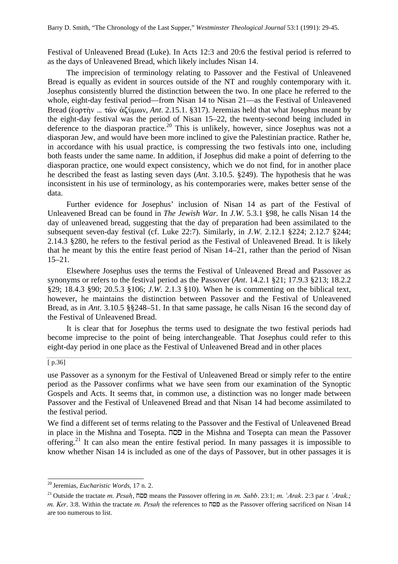Festival of Unleavened Bread (Luke). In Acts 12:3 and 20:6 the festival period is referred to as the days of Unleavened Bread, which likely includes Nisan 14.

The imprecision of terminology relating to Passover and the Festival of Unleavened Bread is equally as evident in sources outside of the NT and roughly contemporary with it. Josephus consistently blurred the distinction between the two. In one place he referred to the whole, eight-day festival period—from Nisan 14 to Nisan 21—as the Festival of Unleavened Bread (εδρτήν ... τῶν ἀζύμων, *Ant.* 2.15.1. §317). Jeremias held that what Josephus meant by the eight-day festival was the period of Nisan 15–22, the twenty-second being included in deference to the diasporan practice.<sup>20</sup> This is unlikely, however, since Josephus was not a diasporan Jew, and would have been more inclined to give the Palestinian practice. Rather he, in accordance with his usual practice, is compressing the two festivals into one, including both feasts under the same name. In addition, if Josephus did make a point of deferring to the diasporan practice, one would expect consistency, which we do not find, for in another place he described the feast as lasting seven days (*Ant*. 3.10.5. §249). The hypothesis that he was inconsistent in his use of terminology, as his contemporaries were, makes better sense of the data.

Further evidence for Josephus' inclusion of Nisan 14 as part of the Festival of Unleavened Bread can be found in *The Jewish War*. In *J.W*. 5.3.1 §98, he calls Nisan 14 the day of unleavened bread, suggesting that the day of preparation had been assimilated to the subsequent seven-day festival (cf. Luke 22:7). Similarly, in *J.W*. 2.12.1 §224; 2.12.7 §244; 2.14.3 §280, he refers to the festival period as the Festival of Unleavened Bread. It is likely that he meant by this the entire feast period of Nisan 14–21, rather than the period of Nisan 15–21.

Elsewhere Josephus uses the terms the Festival of Unleavened Bread and Passover as synonyms or refers to the festival period as the Passover (*Ant*. 14.2.1 §21; 17.9.3 §213; 18.2.2 §29; 18.4.3 §90; 20.5.3 §106; *J.W*. 2.1.3 §10). When he is commenting on the biblical text, however, he maintains the distinction between Passover and the Festival of Unleavened Bread, as in *Ant*. 3.10.5 §§248–51. In that same passage, he calls Nisan 16 the second day of the Festival of Unleavened Bread.

It is clear that for Josephus the terms used to designate the two festival periods had become imprecise to the point of being interchangeable. That Josephus could refer to this eight-day period in one place as the Festival of Unleavened Bread and in other places

#### [ p.36]

l

use Passover as a synonym for the Festival of Unleavened Bread or simply refer to the entire period as the Passover confirms what we have seen from our examination of the Synoptic Gospels and Acts. It seems that, in common use, a distinction was no longer made between Passover and the Festival of Unleavened Bread and that Nisan 14 had become assimilated to the festival period.

We find a different set of terms relating to the Passover and the Festival of Unleavened Bread in place in the Mishna and Tosepta.  $\Box$  in the Mishna and Tosepta can mean the Passover offering.<sup>21</sup> It can also mean the entire festival period. In many passages it is impossible to know whether Nisan 14 is included as one of the days of Passover, but in other passages it is

<sup>20</sup>Jeremias, *Eucharistic Words*, 17 n. 2.

 $21$  Outside the tractate m. Pesah,  $\Box$  means the Passover offering in m. Sabb. 23:1; m.  $'Arak$ . 2:3 par t.  $'Arak$ ; m. Ker. 3:8. Within the tractate m. Pesah the references to  $\overline{DQD}$  as the Passover offering sacrificed on Nisan 14 are too numerous to list.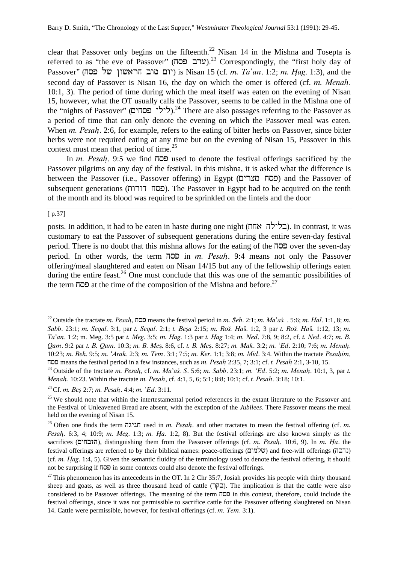clear that Passover only begins on the fifteenth.<sup>22</sup> Nisan 14 in the Mishna and Tosepta is referred to as "the eve of Passover" (ערב פסח).<sup>23</sup> Correspondingly, the "first holy day of Passover" (יום טוב הראשון של פסח) is Nisan 15 (cf. *m. Ta'an.* 1:2; m. Hag. 1:3), and the second day of Passover is Nisan 16, the day on which the omer is offered (cf.  $m$ . Menah. 10:1, 3). The period of time during which the meal itself was eaten on the evening of Nisan 15, however, what the OT usually calls the Passover, seems to be called in the Mishna one of the "nights of Passover" (לילי פסחים).<sup>24</sup> There are also passages referring to the Passover as a period of time that can only denote the evening on which the Passover meal was eaten. When  $m$ . Pesah. 2:6, for example, refers to the eating of bitter herbs on Passover, since bitter herbs were not required eating at any time but on the evening of Nisan 15, Passover in this context must mean that period of time.<sup>25</sup>

In *m. Pesah*. 9:5 we find  $\Box$  used to denote the festival offerings sacrificed by the Passover pilgrims on any day of the festival. In this mishna, it is asked what the difference is between the Passover (i.e., Passover offering) in Egypt (בסח מצרים) and the Passover of subsequent generations (כסח דורות). The Passover in Egypt had to be acquired on the tenth of the month and its blood was required to be sprinkled on the lintels and the door

#### [ p.37]

l

posts. In addition, it had to be eaten in haste during one night (בלילה אחת). In contrast, it was customary to eat the Passover of subsequent generations during the entire seven-day festival period. There is no doubt that this mishna allows for the eating of the  $\overline{p}$  over the seven-day period. In other words, the term  $\overline{p}$  in m. Pesah. 9:4 means not only the Passover offering/meal slaughtered and eaten on Nisan 14/15 but any of the fellowship offerings eaten during the entire feast.<sup>26</sup> One must conclude that this was one of the semantic possibilities of the term  $\overline{p}$  at the time of the composition of the Mishna and before.<sup>27</sup>

<sup>&</sup>lt;sup>22</sup> Outside the tractate m. Pesah,  $\Pi$ CD means the festival period in m. Seb. 2:1; m. Ma<sup>s</sup> as, . 5:6; m. Hal. 1:1, 8; m. Sabb. 23:1; m. Segal. 3:1, par t. Segal. 2:1; t. Besa 2:15; m. Roš. Haš. 1:2, 3 par t. Roš. Haš. 1:12, 13; m.  $Ta<sup>2</sup>$  m. 1:2; m. Meg. 3:5 par t. Meg. 3:5; m. Hag. 1:3 par t. Hag 1:4; m. Ned. 7:8, 9; 8:2, cf. t. Ned. 4:7; m. B. Qam. 9:2 par t. B. Qam. 10:3; m. B. Mes. 8:6, cf. t. B. Mes. 8:27; m. Mak. 3:2; m.  $Ed. 2:10$ ; 7:6; m. Menah. 10:23; m. Bek. 9:5; m. 'Arak. 2:3; m. Tem. 3:1; 7:5; m. Ker. 1:1; 3:8; m. Mid. 3:4. Within the tractate Pesahim, means the festival period in a few instances, such as m. Pesah  $2:35, 7$ ;  $3:1$ ; cf. t. Pesah  $2:1$ ,  $3-10$ ,  $15$ .

<sup>&</sup>lt;sup>23</sup> Outside of the tractate m. Pesah, cf. m. Ma<sup>s</sup>aś. S. 5:6; m. Sabb. 23:1; m. *`Ed.* 5:2; m. Menah. 10:1, 3, par t. *Menah.* 10:23. Within the tractate m. Pesah, cf. 4:1, 5, 6; 5:1; 8:8; 10:1; cf. t. Pesah. 3:18; 10:1.

<sup>&</sup>lt;sup>24</sup> Cf. *m. Bes* 2:7; *m. Pesah.* 4:4; *m.*  $Ed. 3:11$ .

<sup>&</sup>lt;sup>25</sup> We should note that within the intertestamental period references in the extant literature to the Passover and the Festival of Unleavened Bread are absent, with the exception of the *Jubilees*. There Passover means the meal held on the evening of Nisan 15.

<sup>&</sup>lt;sup>26</sup> Often one finds the term חגיגה used in m. Pesah. and other tractates to mean the festival offering (cf. m. *Pesah.* 6:3, 4; 10:9; m. Meg. 1:3; m. Ha. 1:2, 8). But the festival offerings are also known simply as the sacrifices (הובחים), distinguishing them from the Passover offerings (cf. m. Pesah. 10:6, 9). In m. Ha. the festival offerings are referred to by their biblical names: peace-offerings (שלמים) and free-will offerings (נדבה) (cf. m. Hag. 1:4, 5). Given the semantic fluidity of the terminology used to denote the festival offering, it should not be surprising if  $\overline{p}$  in some contexts could also denote the festival offerings.

<sup>&</sup>lt;sup>27</sup>This phenomenon has its antecedents in the OT. In 2 Chr 35:7, Josiah provides his people with thirty thousand sheep and goats, as well as three thousand head of cattle (בקר). The implication is that the cattle were also considered to be Passover offerings. The meaning of the term  $\overline{p}$  in this context, therefore, could include the festival offerings, since it was not permissible to sacrifice cattle for the Passover offering slaughtered on Nisan 14. Cattle were permissible, however, for festival offerings (cf. m. Tem. 3:1).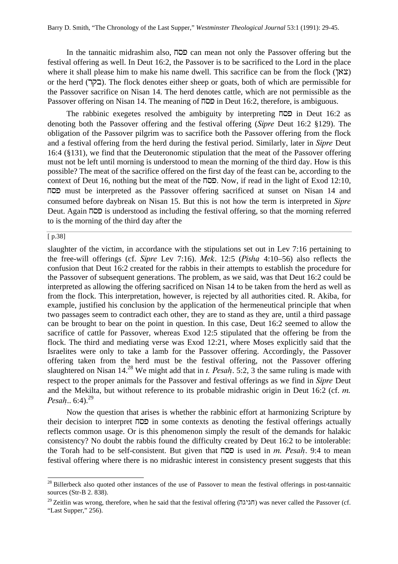In the tannaitic midrashim also,  $\overline{1}$  can mean not only the Passover offering but the festival offering as well. In Deut 16:2, the Passover is to be sacrificed to the Lord in the place where it shall please him to make his name dwell. This sacrifice can be from the flock  $(\mathbb{X}\mathbb{X})$ or the herd (rqb). The flock denotes either sheep or goats, both of which are permissible for the Passover sacrifice on Nisan 14. The herd denotes cattle, which are not permissible as the Passover offering on Nisan 14. The meaning of  $\overline{D}D$  in Deut 16:2, therefore, is ambiguous.

The rabbinic exegetes resolved the ambiguity by interpreting  $\Pi$ <sup>on</sup> in Deut 16:2 as denoting both the Passover offering and the festival offering (Sipre Deut 16:2 §129). The obligation of the Passover pilgrim was to sacrifice both the Passover offering from the flock and a festival offering from the herd during the festival period. Similarly, later in *Sipre* Deut 16:4 (§131), we find that the Deuteronomic stipulation that the meat of the Passover offering must not be left until morning is understood to mean the morning of the third day. How is this possible? The meat of the sacrifice offered on the first day of the feast can be, according to the context of Deut 16, nothing but the meat of the  $\overline{D}D$ . Now, if read in the light of Exod 12:10, jsp must be interpreted as the Passover offering sacrificed at sunset on Nisan 14 and consumed before daybreak on Nisan 15. But this is not how the term is interpreted in Sipre Deut. Again  $\overline{102}$  is understood as including the festival offering, so that the morning referred to is the morning of the third day after the

[ p.38]

l

slaughter of the victim, in accordance with the stipulations set out in Lev 7:16 pertaining to the free-will offerings (cf. Sipre Lev 7:16). Mek. 12:5 (Pisha  $4:10-56$ ) also reflects the confusion that Deut 16:2 created for the rabbis in their attempts to establish the procedure for the Passover of subsequent generations. The problem, as we said, was that Deut 16:2 could be interpreted as allowing the offering sacrificed on Nisan 14 to be taken from the herd as well as from the flock. This interpretation, however, is rejected by all authorities cited. R. Akiba, for example, justified his conclusion by the application of the hermeneutical principle that when two passages seem to contradict each other, they are to stand as they are, until a third passage can be brought to bear on the point in question. In this case, Deut 16:2 seemed to allow the sacrifice of cattle for Passover, whereas Exod 12:5 stipulated that the offering be from the flock. The third and mediating verse was Exod 12:21, where Moses explicitly said that the Israelites were only to take a lamb for the Passover offering. Accordingly, the Passover offering taken from the herd must be the festival offering, not the Passover offering slaughtered on Nisan  $14.^{28}$  We might add that in t. Pesah. 5:2, 3 the same ruling is made with respect to the proper animals for the Passover and festival offerings as we find in Sipre Deut and the Mekilta, but without reference to its probable midrashic origin in Deut 16:2 (cf. m. Pesah..  $6:4$ .<sup>29</sup>

Now the question that arises is whether the rabbinic effort at harmonizing Scripture by their decision to interpret  $\overline{D}D$  in some contexts as denoting the festival offerings actually reflects common usage. Or is this phenomenon simply the result of the demands for halakic consistency? No doubt the rabbis found the difficulty created by Deut 16:2 to be intolerable: the Torah had to be self-consistent. But given that  $\Pi$  is used in m. Pesah. 9:4 to mean festival offering where there is no midrashic interest in consistency present suggests that this

 $28$ Billerbeck also quoted other instances of the use of Passover to mean the festival offerings in post-tannaitic sources (Str-B 2. 838).

<sup>&</sup>lt;sup>29</sup>Zeitlin was wrong, therefore, when he said that the festival offering (חגיגה) was never called the Passover (cf. "Last Supper," 256).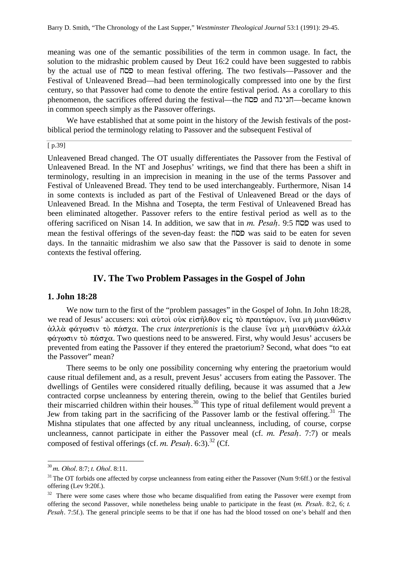meaning was one of the semantic possibilities of the term in common usage. In fact, the solution to the midrashic problem caused by Deut 16:2 could have been suggested to rabbis by the actual use of  $\Pi$  $\Box$  to mean festival offering. The two festivals—Passover and the Festival of Unleavened Bread—had been terminologically compressed into one by the first century, so that Passover had come to denote the entire festival period. As a corollary to this phenomenon, the sacrifices offered during the festival—the **חביגה** and henomenon, the sacrifices offered during the festival—the now in common speech simply as the Passover offerings.

We have established that at some point in the history of the Jewish festivals of the postbiblical period the terminology relating to Passover and the subsequent Festival of

 $\sqrt{p.39}$ 

Unleavened Bread changed. The OT usually differentiates the Passover from the Festival of Unleavened Bread. In the NT and Josephus' writings, we find that there has been a shift in terminology, resulting in an imprecision in meaning in the use of the terms Passover and Festival of Unleavened Bread. They tend to be used interchangeably. Furthermore, Nisan 14 in some contexts is included as part of the Festival of Unleavened Bread or the days of Unleavened Bread. In the Mishna and Tosepta, the term Festival of Unleavened Bread has been eliminated altogether. Passover refers to the entire festival period as well as to the offering sacrificed on Nisan 14. In addition, we saw that in m. Pesah. 9:5  $\Pi$ DD was used to mean the festival offerings of the seven-day feast: the  $\Pi \Box \Box$  was said to be eaten for seven days. In the tannaitic midrashim we also saw that the Passover is said to denote in some contexts the festival offering.

# **IV. The Two Problem Passages in the Gospel of John**

# **1. John 18:28**

We now turn to the first of the "problem passages" in the Gospel of John. In John 18:28, we read of Jesus' accusers: καὶ αὐτοὶ οὐκ εἰσῆλθον εἰς τὸ πραιτώριον, ἴνα μὴ μιανθῶσιν  $\dot{\alpha}$ λλά φάγωσιν τὸ πάσγα. The *crux interpretionis* is the clause τνα μή μιανθῶσιν ἀλλὰ  $\phi \alpha \gamma \omega \sigma \chi$  to  $\pi \alpha \sigma \gamma \alpha$ . Two questions need to be answered. First, why would Jesus' accusers be prevented from eating the Passover if they entered the praetorium? Second, what does "to eat the Passover" mean?

There seems to be only one possibility concerning why entering the praetorium would cause ritual defilement and, as a result, prevent Jesus' accusers from eating the Passover. The dwellings of Gentiles were considered ritually defiling, because it was assumed that a Jew contracted corpse uncleanness by entering therein, owing to the belief that Gentiles buried their miscarried children within their houses.<sup>30</sup> This type of ritual defilement would prevent a Jew from taking part in the sacrificing of the Passover lamb or the festival offering.<sup>31</sup> The Mishna stipulates that one affected by any ritual uncleanness, including, of course, corpse uncleanness, cannot participate in either the Passover meal (cf.  $m$ . Pesah. 7:7) or meals composed of festival offerings (cf. m. Pesah. 6:3).<sup>32</sup> (Cf.

 $30$  m. Ohol. 8:7; t. Ohol. 8:11.

<sup>&</sup>lt;sup>31</sup>The OT forbids one affected by corpse uncleanness from eating either the Passover (Num 9:6ff.) or the festival offering (Lev 9:20f.).

<sup>&</sup>lt;sup>32</sup> There were some cases where those who became disqualified from eating the Passover were exempt from offering the second Passover, while nonetheless being unable to participate in the feast  $(m. Pesah. 8:2, 6; t.$ Pesah. 7:5f.). The general principle seems to be that if one has had the blood tossed on one's behalf and then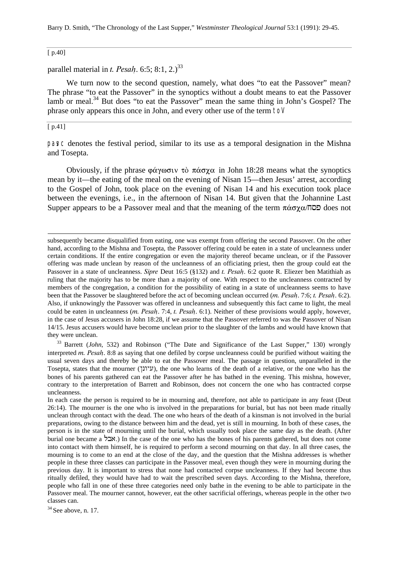Barry D. Smith, "The Chronology of the Last Supper," *Westminster Theological Journal* 53:1 (1991): 29-45.

[ p.40]

parallel material in t. Pesah. 6:5; 8:1, 2.)<sup>33</sup>

We turn now to the second question, namely, what does "to eat the Passover" mean? The phrase "to eat the Passover" in the synoptics without a doubt means to eat the Passover lamb or meal.<sup>34</sup> But does "to eat the Passover" mean the same thing in John's Gospel? The phrase only appears this once in John, and every other use of the term to

[ p.41]

l

pasc denotes the festival period, similar to its use as a temporal designation in the Mishna and Tosepta.

Obviously, if the phrase  $\phi \alpha \gamma \omega \sigma \nu \dot{\alpha} \pi \dot{\alpha} \sigma \chi \alpha$  in John 18:28 means what the synoptics mean by it—the eating of the meal on the evening of Nisan 15—then Jesus' arrest, according to the Gospel of John, took place on the evening of Nisan 14 and his execution took place between the evenings, i.e., in the afternoon of Nisan 14. But given that the Johannine Last Supper appears to be a Passover meal and that the meaning of the term  $\pi \dot{\alpha} \sigma \chi \alpha / \Pi$ 

subsequently became disqualified from eating, one was exempt from offering the second Passover. On the other hand, according to the Mishna and Tosepta, the Passover offering could be eaten in a state of uncleanness under certain conditions. If the entire congregation or even the majority thereof became unclean, or if the Passover offering was made unclean by reason of the uncleanness of an officiating priest, then the group could eat the Passover in a state of uncleanness. Sipre Deut 16:5 (§132) and t. Pesah. 6:2 quote R. Eliezer ben Matithiah as ruling that the majority has to be more than a majority of one. With respect to the uncleanness contracted by members of the congregation, a condition for the possibility of eating in a state of uncleanness seems to have been that the Passover be slaughtered before the act of becoming unclean occurred (m. Pesah. 7:6; t. Pesah. 6:2). Also, if unknowingly the Passover was offered in uncleanness and subsequently this fact came to light, the meal could be eaten in uncleanness (m. Pesah. 7:4, t. Pesah. 6:1). Neither of these provisions would apply, however, in the case of Jesus accusers in John 18:28, if we assume that the Passover referred to was the Passover of Nisan 14/15. Jesus accusers would have become unclean prior to the slaughter of the lambs and would have known that they were unclean.

<sup>33</sup> Barrett (*John*, 532) and Robinson ("The Date and Significance of the Last Supper," 130) wrongly interpreted m. Pesah. 8:8 as saying that one defiled by corpse uncleanness could be purified without waiting the usual seven days and thereby be able to eat the Passover meal. The passage in question, unparalleled in the Tosepta, states that the mourner ( $\mathcal{V}(\mathcal{V}(\mathcal{V}(\mathcal{V})))$ , the one who learns of the death of a relative, or the one who has the bones of his parents gathered can eat the Passover after he has bathed in the evening. This mishna, however, contrary to the interpretation of Barrett and Robinson, does not concern the one who has contracted corpse uncleanness.

In each case the person is required to be in mourning and, therefore, not able to participate in any feast (Deut 26:14). The mourner is the one who is involved in the preparations for burial, but has not been made ritually unclean through contact with the dead. The one who hears of the death of a kinsman is not involved in the burial preparations, owing to the distance between him and the dead, yet is still in mourning. In both of these cases, the person is in the state of mourning until the burial, which usually took place the same day as the death. (After burial one became a  $\lambda$ אבל.) In the case of the one who has the bones of his parents gathered, but does not come into contact with them himself, he is required to perform a second mourning on that day. In all three cases, the mourning is to come to an end at the close of the day, and the question that the Mishna addresses is whether people in these three classes can participate in the Passover meal, even though they were in mourning during the previous day. It is important to stress that none had contacted corpse uncleanness. If they had become thus ritually defiled, they would have had to wait the prescribed seven days. According to the Mishna, therefore, people who fall in one of these three categories need only bathe in the evening to be able to participate in the Passover meal. The mourner cannot, however, eat the other sacrificial offerings, whereas people in the other two classes can.

 $34$  See above, n. 17.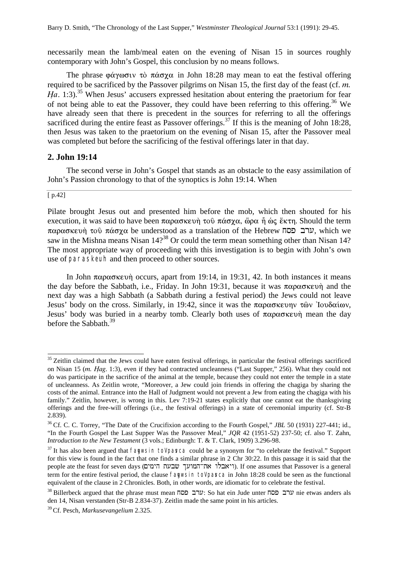necessarily mean the lamb/meal eaten on the evening of Nisan 15 in sources roughly contemporary with John's Gospel, this conclusion by no means follows.

The phrase  $\phi \alpha \gamma \omega \sigma \nu \tau \delta \pi \alpha \sigma \gamma \alpha$  in John 18:28 may mean to eat the festival offering required to be sacrificed by the Passover pilgrims on Nisan 15, the first day of the feast (cf. m. Ha. 1:3).<sup>35</sup> When Jesus' accusers expressed hesitation about entering the praetorium for fear of not being able to eat the Passover, they could have been referring to this offering.<sup>36</sup> We have already seen that there is precedent in the sources for referring to all the offerings sacrificed during the entire feast as Passover offerings.<sup>37</sup> If this is the meaning of John 18:28, then Jesus was taken to the praetorium on the evening of Nisan 15, after the Passover meal was completed but before the sacrificing of the festival offerings later in that day.

# **2. John 19:14**

The second verse in John's Gospel that stands as an obstacle to the easy assimilation of John's Passion chronology to that of the synoptics is John 19:14. When

#### [ p.42]

l

Pilate brought Jesus out and presented him before the mob, which then shouted for his execution, it was said to have been  $\pi \alpha \rho \alpha \sigma \kappa \epsilon \nu \dot{\eta}$  to  $\tilde{\nu} \alpha \sigma \chi \alpha$ ,  $\tilde{\omega} \rho \alpha \hat{\eta} \dot{\alpha} \zeta$   $\tilde{\epsilon} \kappa \tau \eta$ . Should the term παρασκευή τοῦ πάσχα be understood as a translation of the Hebrew  $\pi$ UL which we saw in the Mishna means Nisan  $14$ ?<sup>38</sup> Or could the term mean something other than Nisan 14? The most appropriate way of proceeding with this investigation is to begin with John's own use of paraskeuh and then proceed to other sources.

In John  $\pi\alpha\rho\alpha\sigma\kappa\epsilon\nu\eta$  occurs, apart from 19:14, in 19:31, 42. In both instances it means the day before the Sabbath, i.e., Friday. In John 19:31, because it was  $\pi \alpha \rho \alpha \sigma \kappa \epsilon \nu \eta$  and the next day was a high Sabbath (a Sabbath during a festival period) the Jews could not leave Jesus' body on the cross. Similarly, in 19:42, since it was the  $\pi \alpha \rho \alpha \sigma \kappa \epsilon \nu \eta \nu \tau \hat{\omega} \nu$  'Iov $\delta \alpha \iota \omega \nu$ , Jesus' body was buried in a nearby tomb. Clearly both uses of  $\pi \alpha \rho \alpha \sigma \kappa \epsilon \nu \dot{\eta}$  mean the day before the Sabbath.<sup>39</sup>

 $35$  Zeitlin claimed that the Jews could have eaten festival offerings, in particular the festival offerings sacrificed on Nisan 15 (m. Hag. 1:3), even if they had contracted uncleanness ("Last Supper," 256). What they could not do was participate in the sacrifice of the animal at the temple, because they could not enter the temple in a state of uncleanness. As Zeitlin wrote, "Moreover, a Jew could join friends in offering the chagiga by sharing the costs of the animal. Entrance into the Hall of Judgment would not prevent a Jew from eating the chagiga with his family." Zeitlin, however, is wrong in this. Lev 7:19-21 states explicitly that one cannot eat the thanksgiving offerings and the free-will offerings (i.e., the festival offerings) in a state of ceremonial impurity (cf. Str-B 2.839).

<sup>&</sup>lt;sup>36</sup> Cf. C. C. Torrey, "The Date of the Crucifixion according to the Fourth Gospel," *JBL* 50 (1931) 227-441; id., "In the Fourth Gospel the Last Supper Was the Passover Meal," *JQR* 42 (1951-52) 237-50; cf. also T. Zahn, *Introduction to the New Testament* (3 vols.; Edinburgh: T. & T. Clark, 1909) 3.296-98.

 $37$  It has also been argued that fagwsin to particle could be a synonym for "to celebrate the festival." Support for this view is found in the fact that one finds a similar phrase in 2 Chr 30:22. In this passage it is said that the people ate the feast for seven days (ויאבלו את־המועך שבעת הימים). If one assumes that Passover is a general term for the entire festival period, the clause fagwsin to pasca in John 18:28 could be seen as the functional equivalent of the clause in 2 Chronicles. Both, in other words, are idiomatic for to celebrate the festival.

 $38$  Billerbeck argued that the phrase must mean  $\overline{1}$ ערב כסה: So hat ein Jude unter  $\overline{1}$  bru nie etwas anders als den 14, Nisan verstanden (Str-B 2.834-37). Zeitlin made the same point in his articles.

<sup>39</sup>Cf. Pesch, *Markusevangelium* 2.325.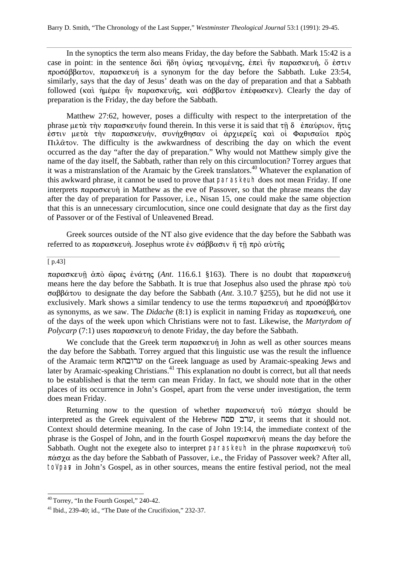In the synoptics the term also means Friday, the day before the Sabbath. Mark 15:42 is a case in point: in the sentence δαὶ ἤδη ὀψίας ηενομένης, ἐπεὶ ἦν παρασκευή, ὅ ἐστιν  $\pi \rho$ o $\sigma \alpha \beta \beta \alpha \tau$ ov,  $\pi \alpha \rho \alpha \sigma \kappa \epsilon$ v is a synonym for the day before the Sabbath. Luke 23:54, similarly, says that the day of Jesus' death was on the day of preparation and that a Sabbath followed (καὶ ἡμέρα ἦν παρασκευῆς, καὶ σάββατον ἐπέφωσκεν). Clearly the day of preparation is the Friday, the day before the Sabbath.

Matthew 27:62, however, poses a difficulty with respect to the interpretation of the phrase  $\mu \in \mathfrak{m}$   $\pi$   $\alpha$  $\beta$   $\alpha \in \mathfrak{m}$  found therein. In this verse it is said that  $\tau \hat{\mathfrak{n}}$   $\delta$   $\dot{\epsilon}$   $\pi \alpha \hat{\mathfrak{v}}$   $\alpha$   $\dot{\beta}$   $\eta$   $\tau \in \mathfrak{m}$ εστιν μετά την παρασκευήν, συνήχθησαν οί άρχιερείς και οί Φαρισαίοι πρὸς  $\Pi$  $\lambda \hat{\alpha}$  tow. The difficulty is the awkwardness of describing the day on which the event occurred as the day "after the day of preparation." Why would not Matthew simply give the name of the day itself, the Sabbath, rather than rely on this circumlocution? Torrey argues that it was a mistranslation of the Aramaic by the Greek translators.<sup>40</sup> Whatever the explanation of this awkward phrase, it cannot be used to prove that paraskeuh does not mean Friday. If one interprets  $\pi \alpha \omega \alpha \sigma$  in Matthew as the eve of Passover, so that the phrase means the day after the day of preparation for Passover, i.e., Nisan 15, one could make the same objection that this is an unnecessary circumlocution, since one could designate that day as the first day of Passover or of the Festival of Unleavened Bread.

Greek sources outside of the NT also give evidence that the day before the Sabbath was referred to as παρασκευή. Josephus wrote έν σάββασιν ή τη πρὸ αὐτής

# $\sqrt{p.43}$

l

 $\pi\alpha\rho\alpha\sigma\kappa\epsilon\nu\hat{\eta}$   $\dot{\alpha}\pi\dot{\alpha}$   $\ddot{\omega}\rho\alpha\zeta$  *ένάτης (Ant. 116.6.1 §163).* There is no doubt that  $\pi\alpha\rho\alpha\sigma\kappa\epsilon\nu\dot{\eta}$ means here the day before the Sabbath. It is true that Josephus also used the phrase  $\pi \rho \delta \tau \sigma \delta$  $\sigma \alpha \beta \beta \dot{\alpha} \tau$  to designate the day before the Sabbath (*Ant.* 3.10.7 §255), but he did not use it exclusively. Mark shows a similar tendency to use the terms  $\pi \alpha \rho \alpha \sigma \kappa \epsilon \nu \eta$  and  $\pi \rho \sigma \alpha \beta \beta \alpha \tau \nu \nu$ as synonyms, as we saw. The *Didache* (8:1) is explicit in naming Friday as  $\pi \alpha \rho \alpha \sigma \kappa \epsilon \nu \eta$ , one of the days of the week upon which Christians were not to fast. Likewise, the *Martyrdom of Polycarp* (7:1) uses  $\pi \alpha \rho \alpha \sigma \kappa \epsilon \nu \eta$  to denote Friday, the day before the Sabbath.

We conclude that the Greek term  $\pi \alpha \rho \alpha \sigma \kappa \epsilon \nu \eta$  in John as well as other sources means the day before the Sabbath. Torrey argued that this linguistic use was the result the influence of the Aramaic term ערובהא on the Greek language as used by Aramaic-speaking Jews and later by Aramaic-speaking Christians.<sup>41</sup> This explanation no doubt is correct, but all that needs to be established is that the term can mean Friday. In fact, we should note that in the other places of its occurrence in John's Gospel, apart from the verse under investigation, the term does mean Friday.

Returning now to the question of whether  $\pi \alpha \rho \alpha \sigma \kappa \epsilon v \eta$   $\tau \omega \delta \pi \alpha \sigma \chi \alpha$  should be  $i$ interpreted as the Greek equivalent of the Hebrew ערב פסח, it seems that it should not. Context should determine meaning. In the case of John 19:14, the immediate context of the phrase is the Gospel of John, and in the fourth Gospel  $\pi \alpha \rho \alpha \sigma \kappa \epsilon \nu \eta$  means the day before the Sabbath. Ought not the exegete also to interpret paraskeuh in the phrase  $\pi \alpha \rho \alpha \sigma \kappa \epsilon \nu \eta$  to  $\hat{\nu}$  $\pi\dot{\alpha}\sigma\gamma\alpha$  as the day before the Sabbath of Passover, i.e., the Friday of Passover week? After all, to part in John's Gospel, as in other sources, means the entire festival period, not the meal

<sup>&</sup>lt;sup>40</sup> Torrey, "In the Fourth Gospel," 240-42.

 $41$  Ibid., 239-40; id., "The Date of the Crucifixion," 232-37.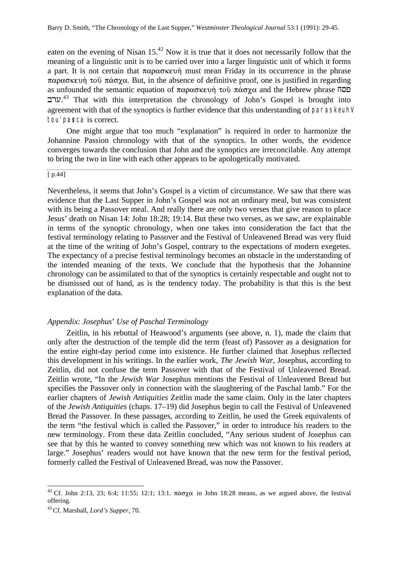eaten on the evening of Nisan  $15^{42}$  Now it is true that it does not necessarily follow that the meaning of a linguistic unit is to be carried over into a larger linguistic unit of which it forms a part. It is not certain that  $\pi \alpha \rho \alpha \sigma \kappa \epsilon$  must mean Friday in its occurrence in the phrase  $\pi\alpha\rho\alpha\sigma\kappa\epsilon$   $\omega$   $\eta$   $\alpha\sigma\gamma\alpha$ . But, in the absence of definitive proof, one is justified in regarding as unfounded the semantic equation of  $\pi \alpha \rho \alpha \sigma \kappa \epsilon \nu \eta$  to  $\tilde{\sigma} \alpha \sigma \chi \alpha$  and the Hebrew phrase  $\pi \sigma$ ערב.<sup>43</sup> That with this interpretation the chronology of John's Gospel is brought into agreement with that of the synoptics is further evidence that this understanding of paraskeuh tou' pasca is correct.

One might argue that too much "explanation" is required in order to harmonize the Johannine Passion chronology with that of the synoptics. In other words, the evidence converges towards the conclusion that John and the synoptics are irreconcilable. Any attempt to bring the two in line with each other appears to be apologetically motivated.

#### [ p.44]

Nevertheless, it seems that John's Gospel is a victim of circumstance. We saw that there was evidence that the Last Supper in John's Gospel was not an ordinary meal, but was consistent with its being a Passover meal. And really there are only two verses that give reason to place Jesus' death on Nisan 14: John 18:28; 19:14. But these two verses, as we saw, are explainable in terms of the synoptic chronology, when one takes into consideration the fact that the festival terminology relating to Passover and the Festival of Unleavened Bread was very fluid at the time of the writing of John's Gospel, contrary to the expectations of modern exegetes. The expectancy of a precise festival terminology becomes an obstacle in the understanding of the intended meaning of the texts. We conclude that the hypothesis that the Johannine chronology can be assimilated to that of the synoptics is certainly respectable and ought not to be dismissed out of hand, as is the tendency today. The probability is that this is the best explanation of the data.

#### *Appendix: Josephus*' *Use of Paschal Terminology*

Zeitlin, in his rebuttal of Heawood's arguments (see above, n. 1), made the claim that only after the destruction of the temple did the term (feast of) Passover as a designation for the entire eight-day period come into existence. He further claimed that Josephus reflected this development in his writings. In the earlier work, *The Jewish War*, Josephus, according to Zeitlin, did not confuse the term Passover with that of the Festival of Unleavened Bread. Zeitlin wrote, "In the *Jewish War* Josephus mentions the Festival of Unleavened Bread but specifies the Passover only in connection with the slaughtering of the Paschal lamb." For the earlier chapters of *Jewish Antiquities* Zeitlin made the same claim. Only in the later chapters of the *Jewish Antiquities* (chaps. 17–19) did Josephus begin to call the Festival of Unleavened Bread the Passover. In these passages, according to Zeitlin, he used the Greek equivalents of the term "the festival which is called the Passover," in order to introduce his readers to the new terminology. From these data Zeitlin concluded, "Any serious student of Josephus can see that by this he wanted to convey something new which was not known to his readers at large." Josephus' readers would not have known that the new term for the festival period, formerly called the Festival of Unleavened Bread, was now the Passover.

<sup>&</sup>lt;sup>42</sup> Cf. John 2:13, 23; 6:4; 11:55; 12:1; 13:1.  $\pi \alpha \sigma \chi \alpha$  in John 18:28 means, as we argued above, the festival offering.

<sup>43</sup>Cf. Marshall, *Lord's Supper*, 70.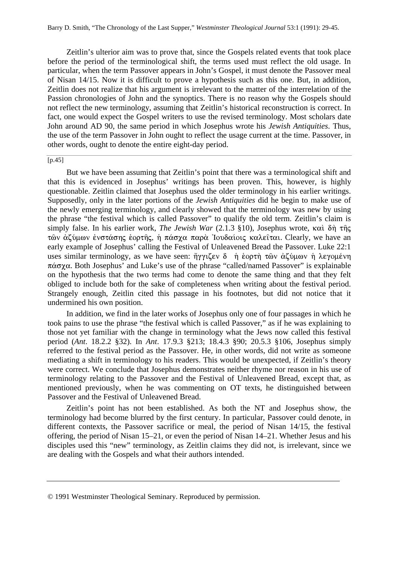Zeitlin's ulterior aim was to prove that, since the Gospels related events that took place before the period of the terminological shift, the terms used must reflect the old usage. In particular, when the term Passover appears in John's Gospel, it must denote the Passover meal of Nisan 14/15. Now it is difficult to prove a hypothesis such as this one. But, in addition, Zeitlin does not realize that his argument is irrelevant to the matter of the interrelation of the Passion chronologies of John and the synoptics. There is no reason why the Gospels should not reflect the new terminology, assuming that Zeitlin's historical reconstruction is correct. In fact, one would expect the Gospel writers to use the revised terminology. Most scholars date John around AD 90, the same period in which Josephus wrote his *Jewish Antiquities*. Thus, the use of the term Passover in John ought to reflect the usage current at the time. Passover, in other words, ought to denote the entire eight-day period.

#### $[p.45]$

But we have been assuming that Zeitlin's point that there was a terminological shift and that this is evidenced in Josephus' writings has been proven. This, however, is highly questionable. Zeitlin claimed that Josephus used the older terminology in his earlier writings. Supposedly, only in the later portions of the *Jewish Antiquities* did he begin to make use of the newly emerging terminology, and clearly showed that the terminology was new by using the phrase "the festival which is called Passover" to qualify the old term. Zeitlin's claim is simply false. In his earlier work, *The Jewish War* (2.1.3  $$10$ ), Josephus wrote, καὶ δὴ τῆς  $\tau$ ών άζύμων ένστάσης έορτης, η πάσχα παρά 'Ιουδαίοις καλείται. Clearly, we have an early example of Josephus' calling the Festival of Unleavened Bread the Passover. Luke 22:1 uses similar terminology, as we have seen: ήγγιζεν δ ή εορτή τῶν ἀζύμων ή λεγομένη  $\pi\alpha\sigma\chi\alpha$ . Both Josephus' and Luke's use of the phrase "called/named Passover" is explainable on the hypothesis that the two terms had come to denote the same thing and that they felt obliged to include both for the sake of completeness when writing about the festival period. Strangely enough, Zeitlin cited this passage in his footnotes, but did not notice that it undermined his own position.

In addition, we find in the later works of Josephus only one of four passages in which he took pains to use the phrase "the festival which is called Passover," as if he was explaining to those not yet familiar with the change in terminology what the Jews now called this festival period (*Ant*. 18.2.2 §32). In *Ant*. 17.9.3 §213; 18.4.3 §90; 20.5.3 §106, Josephus simply referred to the festival period as the Passover. He, in other words, did not write as someone mediating a shift in terminology to his readers. This would be unexpected, if Zeitlin's theory were correct. We conclude that Josephus demonstrates neither rhyme nor reason in his use of terminology relating to the Passover and the Festival of Unleavened Bread, except that, as mentioned previously, when he was commenting on OT texts, he distinguished between Passover and the Festival of Unleavened Bread.

Zeitlin's point has not been established. As both the NT and Josephus show, the terminology had become blurred by the first century. In particular, Passover could denote, in different contexts, the Passover sacrifice or meal, the period of Nisan 14/15, the festival offering, the period of Nisan 15–21, or even the period of Nisan 14–21. Whether Jesus and his disciples used this "new" terminology, as Zeitlin claims they did not, is irrelevant, since we are dealing with the Gospels and what their authors intended.

<sup>© 1991</sup> Westminster Theological Seminary. Reproduced by permission.